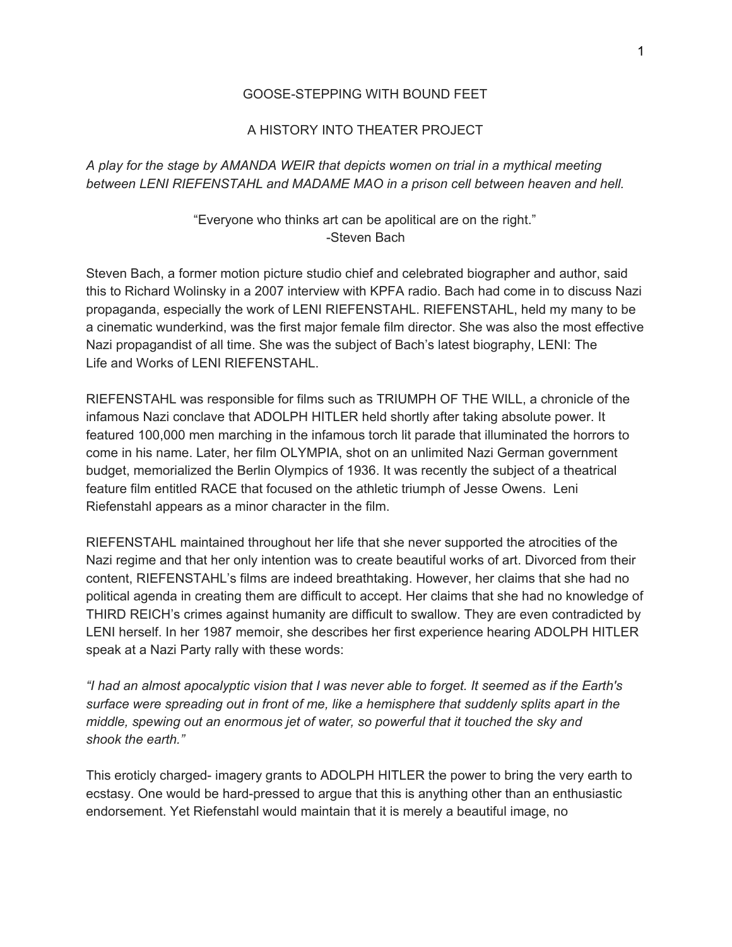## GOOSE-STEPPING WITH BOUND FEET

## A HISTORY INTO THEATER PROJECT

*A play for the stage by AMANDA WEIR that depicts women on trial in a mythical meeting between LENI RIEFENSTAHL and MADAME MAO in a prison cell between heaven and hell.*

## "Everyone who thinks art can be apolitical are on the right." -Steven Bach

Steven Bach, a former motion picture studio chief and celebrated biographer and author, said this to Richard Wolinsky in a 2007 interview with KPFA radio. Bach had come in to discuss Nazi propaganda, especially the work of LENI RIEFENSTAHL. RIEFENSTAHL, held my many to be a cinematic wunderkind, was the first major female film director. She was also the most effective Nazi propagandist of all time. She was the subject of Bach's latest biography, LENI: The Life and Works of LENI RIEFENSTAHL.

RIEFENSTAHL was responsible for films such as TRIUMPH OF THE WILL, a chronicle of the infamous Nazi conclave that ADOLPH HITLER held shortly after taking absolute power. It featured 100,000 men marching in the infamous torch lit parade that illuminated the horrors to come in his name. Later, her film OLYMPIA, shot on an unlimited Nazi German government budget, memorialized the Berlin Olympics of 1936. It was recently the subject of a theatrical feature film entitled RACE that focused on the athletic triumph of Jesse Owens. Leni Riefenstahl appears as a minor character in the film.

RIEFENSTAHL maintained throughout her life that she never supported the atrocities of the Nazi regime and that her only intention was to create beautiful works of art. Divorced from their content, RIEFENSTAHL's films are indeed breathtaking. However, her claims that she had no political agenda in creating them are difficult to accept. Her claims that she had no knowledge of THIRD REICH's crimes against humanity are difficult to swallow. They are even contradicted by LENI herself. In her 1987 memoir, she describes her first experience hearing ADOLPH HITLER speak at a Nazi Party rally with these words:

"I had an almost apocalyptic vision that I was never able to forget. It seemed as if the Earth's *surface were spreading out in front of me, like a hemisphere that suddenly splits apart in the middle, spewing out an enormous jet of water, so powerful that it touched the sky and shook the earth."*

This eroticly charged- imagery grants to ADOLPH HITLER the power to bring the very earth to ecstasy. One would be hard-pressed to argue that this is anything other than an enthusiastic endorsement. Yet Riefenstahl would maintain that it is merely a beautiful image, no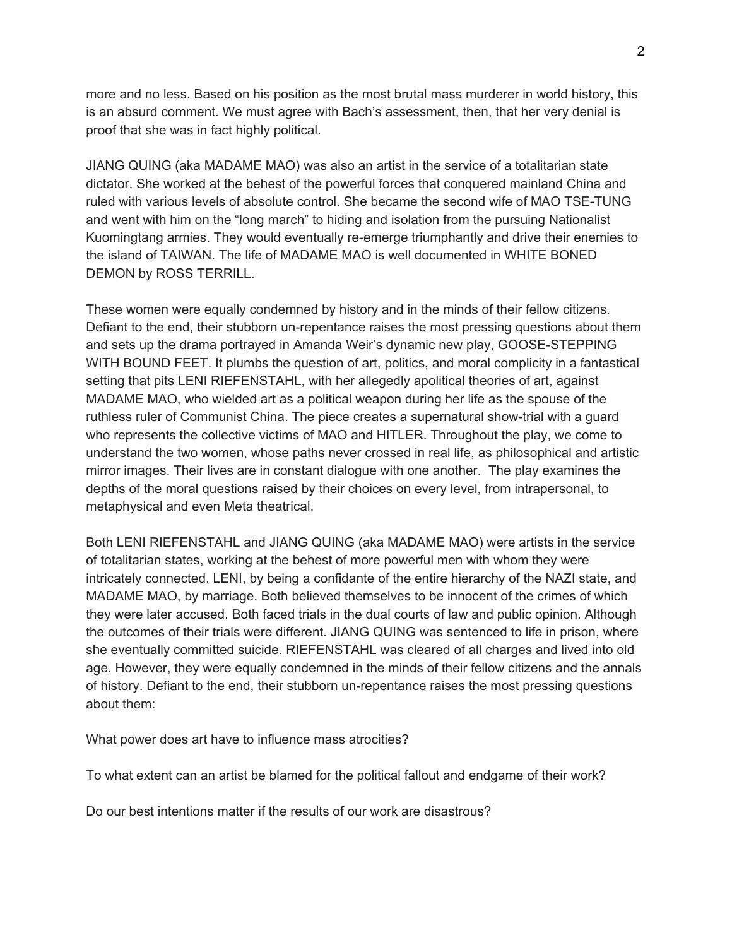more and no less. Based on his position as the most brutal mass murderer in world history, this is an absurd comment. We must agree with Bach's assessment, then, that her very denial is proof that she was in fact highly political.

JIANG QUING (aka MADAME MAO) was also an artist in the service of a totalitarian state dictator. She worked at the behest of the powerful forces that conquered mainland China and ruled with various levels of absolute control. She became the second wife of MAO TSE-TUNG and went with him on the "long march" to hiding and isolation from the pursuing Nationalist Kuomingtang armies. They would eventually re-emerge triumphantly and drive their enemies to the island of TAIWAN. The life of MADAME MAO is well documented in WHITE BONED DEMON by ROSS TERRILL.

These women were equally condemned by history and in the minds of their fellow citizens. Defiant to the end, their stubborn un-repentance raises the most pressing questions about them and sets up the drama portrayed in Amanda Weir's dynamic new play, GOOSE-STEPPING WITH BOUND FEET. It plumbs the question of art, politics, and moral complicity in a fantastical setting that pits LENI RIEFENSTAHL, with her allegedly apolitical theories of art, against MADAME MAO, who wielded art as a political weapon during her life as the spouse of the ruthless ruler of Communist China. The piece creates a supernatural show-trial with a guard who represents the collective victims of MAO and HITLER. Throughout the play, we come to understand the two women, whose paths never crossed in real life, as philosophical and artistic mirror images. Their lives are in constant dialogue with one another. The play examines the depths of the moral questions raised by their choices on every level, from intrapersonal, to metaphysical and even Meta theatrical.

Both LENI RIEFENSTAHL and JIANG QUING (aka MADAME MAO) were artists in the service of totalitarian states, working at the behest of more powerful men with whom they were intricately connected. LENI, by being a confidante of the entire hierarchy of the NAZI state, and MADAME MAO, by marriage. Both believed themselves to be innocent of the crimes of which they were later accused. Both faced trials in the dual courts of law and public opinion. Although the outcomes of their trials were different. JIANG QUING was sentenced to life in prison, where she eventually committed suicide. RIEFENSTAHL was cleared of all charges and lived into old age. However, they were equally condemned in the minds of their fellow citizens and the annals of history. Defiant to the end, their stubborn un-repentance raises the most pressing questions about them:

What power does art have to influence mass atrocities?

To what extent can an artist be blamed for the political fallout and endgame of their work?

Do our best intentions matter if the results of our work are disastrous?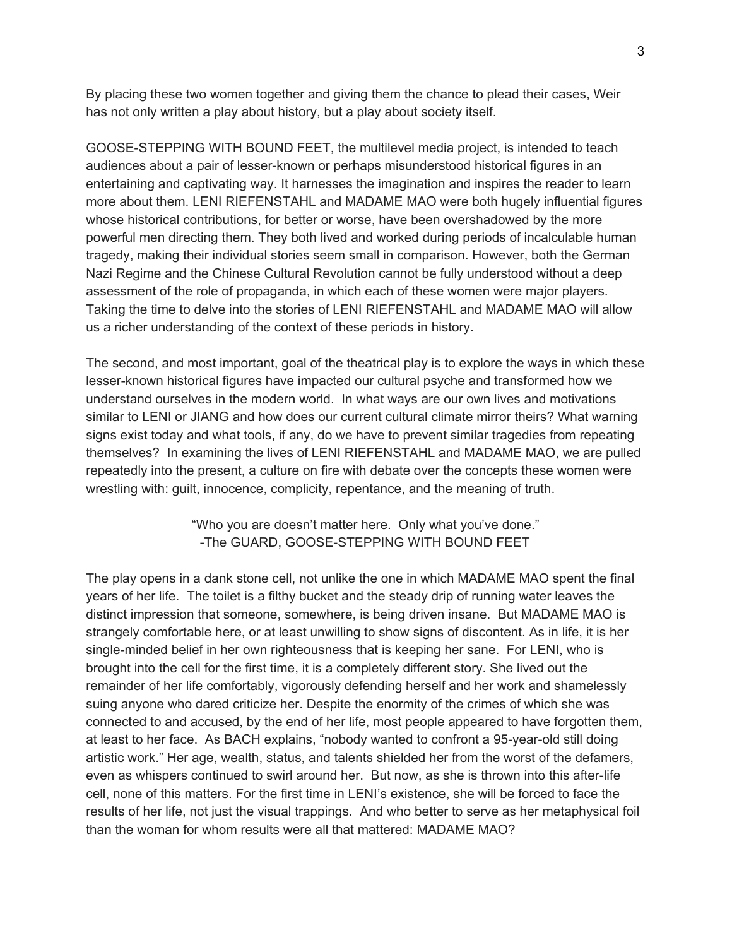By placing these two women together and giving them the chance to plead their cases, Weir has not only written a play about history, but a play about society itself.

GOOSE-STEPPING WITH BOUND FEET, the multilevel media project, is intended to teach audiences about a pair of lesser-known or perhaps misunderstood historical figures in an entertaining and captivating way. It harnesses the imagination and inspires the reader to learn more about them. LENI RIEFENSTAHL and MADAME MAO were both hugely influential figures whose historical contributions, for better or worse, have been overshadowed by the more powerful men directing them. They both lived and worked during periods of incalculable human tragedy, making their individual stories seem small in comparison. However, both the German Nazi Regime and the Chinese Cultural Revolution cannot be fully understood without a deep assessment of the role of propaganda, in which each of these women were major players. Taking the time to delve into the stories of LENI RIEFENSTAHL and MADAME MAO will allow us a richer understanding of the context of these periods in history.

The second, and most important, goal of the theatrical play is to explore the ways in which these lesser-known historical figures have impacted our cultural psyche and transformed how we understand ourselves in the modern world. In what ways are our own lives and motivations similar to LENI or JIANG and how does our current cultural climate mirror theirs? What warning signs exist today and what tools, if any, do we have to prevent similar tragedies from repeating themselves? In examining the lives of LENI RIEFENSTAHL and MADAME MAO, we are pulled repeatedly into the present, a culture on fire with debate over the concepts these women were wrestling with: guilt, innocence, complicity, repentance, and the meaning of truth.

> "Who you are doesn't matter here. Only what you've done." -The GUARD, GOOSE-STEPPING WITH BOUND FEET

The play opens in a dank stone cell, not unlike the one in which MADAME MAO spent the final years of her life. The toilet is a filthy bucket and the steady drip of running water leaves the distinct impression that someone, somewhere, is being driven insane. But MADAME MAO is strangely comfortable here, or at least unwilling to show signs of discontent. As in life, it is her single-minded belief in her own righteousness that is keeping her sane. For LENI, who is brought into the cell for the first time, it is a completely different story. She lived out the remainder of her life comfortably, vigorously defending herself and her work and shamelessly suing anyone who dared criticize her. Despite the enormity of the crimes of which she was connected to and accused, by the end of her life, most people appeared to have forgotten them, at least to her face. As BACH explains, "nobody wanted to confront a 95-year-old still doing artistic work." Her age, wealth, status, and talents shielded her from the worst of the defamers, even as whispers continued to swirl around her. But now, as she is thrown into this after-life cell, none of this matters. For the first time in LENI's existence, she will be forced to face the results of her life, not just the visual trappings. And who better to serve as her metaphysical foil than the woman for whom results were all that mattered: MADAME MAO?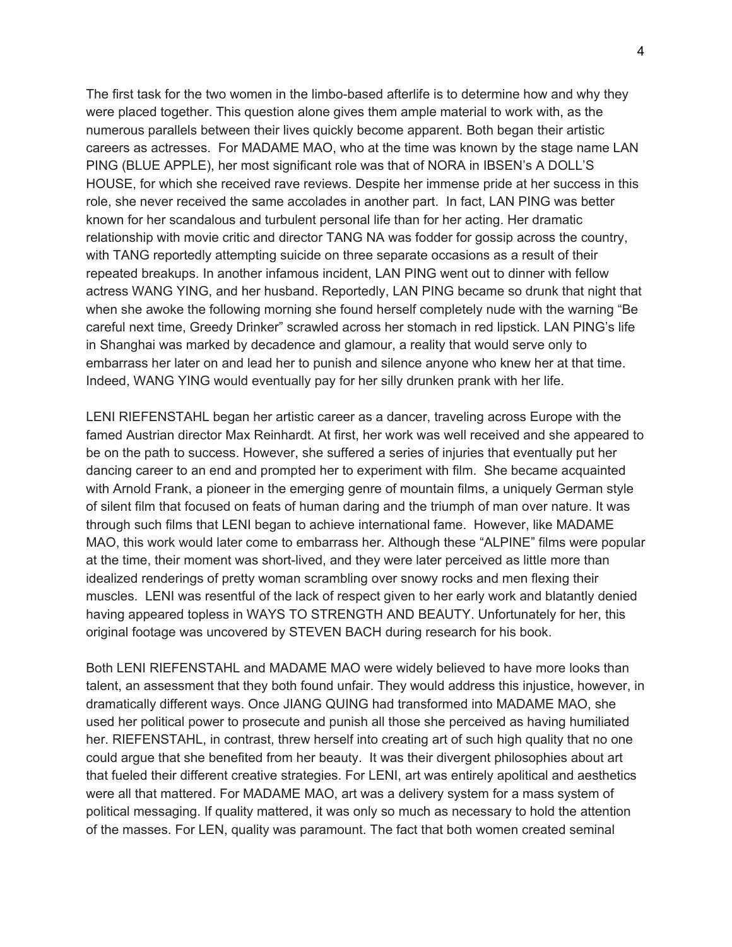The first task for the two women in the limbo-based afterlife is to determine how and why they were placed together. This question alone gives them ample material to work with, as the numerous parallels between their lives quickly become apparent. Both began their artistic careers as actresses. For MADAME MAO, who at the time was known by the stage name LAN PING (BLUE APPLE), her most significant role was that of NORA in IBSEN's A DOLL'S HOUSE, for which she received rave reviews. Despite her immense pride at her success in this role, she never received the same accolades in another part. In fact, LAN PING was better known for her scandalous and turbulent personal life than for her acting. Her dramatic relationship with movie critic and director TANG NA was fodder for gossip across the country, with TANG reportedly attempting suicide on three separate occasions as a result of their repeated breakups. In another infamous incident, LAN PING went out to dinner with fellow actress WANG YING, and her husband. Reportedly, LAN PING became so drunk that night that when she awoke the following morning she found herself completely nude with the warning "Be careful next time, Greedy Drinker" scrawled across her stomach in red lipstick. LAN PING's life in Shanghai was marked by decadence and glamour, a reality that would serve only to embarrass her later on and lead her to punish and silence anyone who knew her at that time. Indeed, WANG YING would eventually pay for her silly drunken prank with her life.

LENI RIEFENSTAHL began her artistic career as a dancer, traveling across Europe with the famed Austrian director Max Reinhardt. At first, her work was well received and she appeared to be on the path to success. However, she suffered a series of injuries that eventually put her dancing career to an end and prompted her to experiment with film. She became acquainted with Arnold Frank, a pioneer in the emerging genre of mountain films, a uniquely German style of silent film that focused on feats of human daring and the triumph of man over nature. It was through such films that LENI began to achieve international fame. However, like MADAME MAO, this work would later come to embarrass her. Although these "ALPINE" films were popular at the time, their moment was short-lived, and they were later perceived as little more than idealized renderings of pretty woman scrambling over snowy rocks and men flexing their muscles. LENI was resentful of the lack of respect given to her early work and blatantly denied having appeared topless in WAYS TO STRENGTH AND BEAUTY. Unfortunately for her, this original footage was uncovered by STEVEN BACH during research for his book.

Both LENI RIEFENSTAHL and MADAME MAO were widely believed to have more looks than talent, an assessment that they both found unfair. They would address this injustice, however, in dramatically different ways. Once JIANG QUING had transformed into MADAME MAO, she used her political power to prosecute and punish all those she perceived as having humiliated her. RIEFENSTAHL, in contrast, threw herself into creating art of such high quality that no one could argue that she benefited from her beauty. It was their divergent philosophies about art that fueled their different creative strategies. For LENI, art was entirely apolitical and aesthetics were all that mattered. For MADAME MAO, art was a delivery system for a mass system of political messaging. If quality mattered, it was only so much as necessary to hold the attention of the masses. For LEN, quality was paramount. The fact that both women created seminal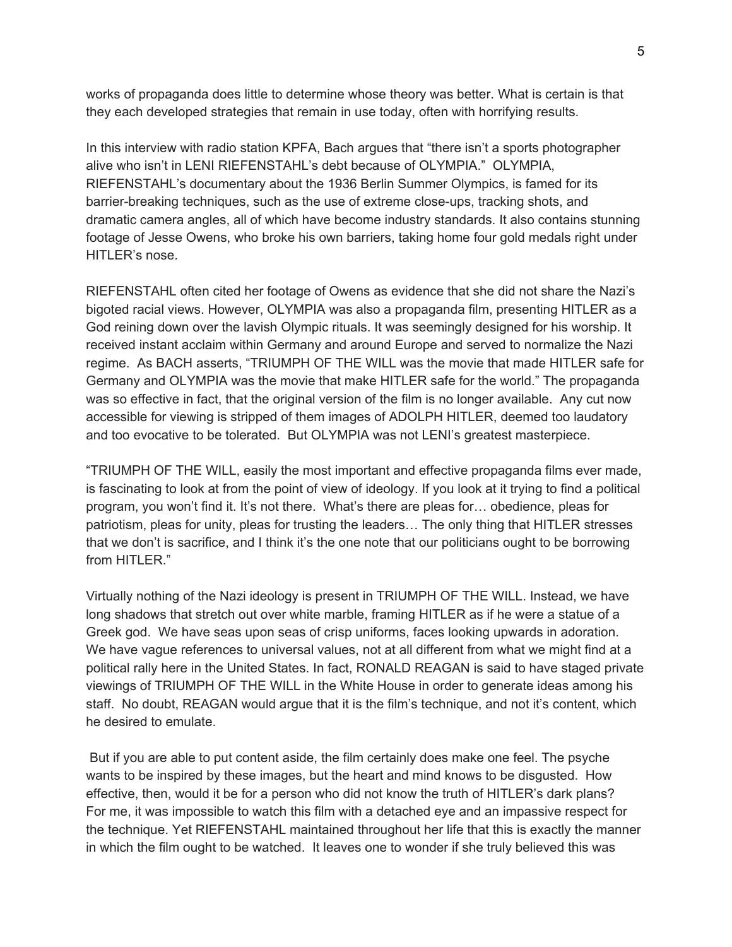works of propaganda does little to determine whose theory was better. What is certain is that they each developed strategies that remain in use today, often with horrifying results.

In this interview with radio station KPFA, Bach argues that "there isn't a sports photographer alive who isn't in LENI RIEFENSTAHL's debt because of OLYMPIA." OLYMPIA, RIEFENSTAHL's documentary about the 1936 Berlin Summer Olympics, is famed for its barrier-breaking techniques, such as the use of extreme close-ups, tracking shots, and dramatic camera angles, all of which have become industry standards. It also contains stunning footage of Jesse Owens, who broke his own barriers, taking home four gold medals right under HITLER's nose.

RIEFENSTAHL often cited her footage of Owens as evidence that she did not share the Nazi's bigoted racial views. However, OLYMPIA was also a propaganda film, presenting HITLER as a God reining down over the lavish Olympic rituals. It was seemingly designed for his worship. It received instant acclaim within Germany and around Europe and served to normalize the Nazi regime. As BACH asserts, "TRIUMPH OF THE WILL was the movie that made HITLER safe for Germany and OLYMPIA was the movie that make HITLER safe for the world." The propaganda was so effective in fact, that the original version of the film is no longer available. Any cut now accessible for viewing is stripped of them images of ADOLPH HITLER, deemed too laudatory and too evocative to be tolerated. But OLYMPIA was not LENI's greatest masterpiece.

"TRIUMPH OF THE WILL, easily the most important and effective propaganda films ever made, is fascinating to look at from the point of view of ideology. If you look at it trying to find a political program, you won't find it. It's not there. What's there are pleas for… obedience, pleas for patriotism, pleas for unity, pleas for trusting the leaders… The only thing that HITLER stresses that we don't is sacrifice, and I think it's the one note that our politicians ought to be borrowing from HITLER."

Virtually nothing of the Nazi ideology is present in TRIUMPH OF THE WILL. Instead, we have long shadows that stretch out over white marble, framing HITLER as if he were a statue of a Greek god. We have seas upon seas of crisp uniforms, faces looking upwards in adoration. We have vague references to universal values, not at all different from what we might find at a political rally here in the United States. In fact, RONALD REAGAN is said to have staged private viewings of TRIUMPH OF THE WILL in the White House in order to generate ideas among his staff. No doubt, REAGAN would argue that it is the film's technique, and not it's content, which he desired to emulate.

But if you are able to put content aside, the film certainly does make one feel. The psyche wants to be inspired by these images, but the heart and mind knows to be disgusted. How effective, then, would it be for a person who did not know the truth of HITLER's dark plans? For me, it was impossible to watch this film with a detached eye and an impassive respect for the technique. Yet RIEFENSTAHL maintained throughout her life that this is exactly the manner in which the film ought to be watched. It leaves one to wonder if she truly believed this was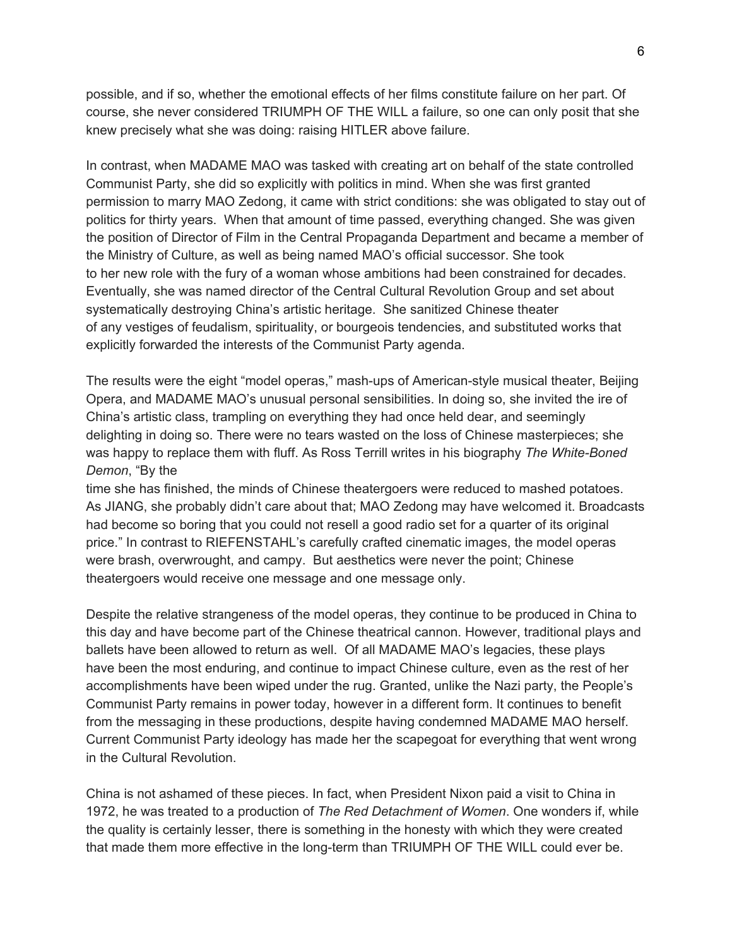possible, and if so, whether the emotional effects of her films constitute failure on her part. Of course, she never considered TRIUMPH OF THE WILL a failure, so one can only posit that she knew precisely what she was doing: raising HITLER above failure.

In contrast, when MADAME MAO was tasked with creating art on behalf of the state controlled Communist Party, she did so explicitly with politics in mind. When she was first granted permission to marry MAO Zedong, it came with strict conditions: she was obligated to stay out of politics for thirty years. When that amount of time passed, everything changed. She was given the position of Director of Film in the Central Propaganda Department and became a member of the Ministry of Culture, as well as being named MAO's official successor. She took to her new role with the fury of a woman whose ambitions had been constrained for decades. Eventually, she was named director of the Central Cultural Revolution Group and set about systematically destroying China's artistic heritage. She sanitized Chinese theater of any vestiges of feudalism, spirituality, or bourgeois tendencies, and substituted works that explicitly forwarded the interests of the Communist Party agenda.

The results were the eight "model operas," mash-ups of American-style musical theater, Beijing Opera, and MADAME MAO's unusual personal sensibilities. In doing so, she invited the ire of China's artistic class, trampling on everything they had once held dear, and seemingly delighting in doing so. There were no tears wasted on the loss of Chinese masterpieces; she was happy to replace them with fluff. As Ross Terrill writes in his biography *The White-Boned Demon*, "By the

time she has finished, the minds of Chinese theatergoers were reduced to mashed potatoes. As JIANG, she probably didn't care about that; MAO Zedong may have welcomed it. Broadcasts had become so boring that you could not resell a good radio set for a quarter of its original price." In contrast to RIEFENSTAHL's carefully crafted cinematic images, the model operas were brash, overwrought, and campy. But aesthetics were never the point; Chinese theatergoers would receive one message and one message only.

Despite the relative strangeness of the model operas, they continue to be produced in China to this day and have become part of the Chinese theatrical cannon. However, traditional plays and ballets have been allowed to return as well. Of all MADAME MAO's legacies, these plays have been the most enduring, and continue to impact Chinese culture, even as the rest of her accomplishments have been wiped under the rug. Granted, unlike the Nazi party, the People's Communist Party remains in power today, however in a different form. It continues to benefit from the messaging in these productions, despite having condemned MADAME MAO herself. Current Communist Party ideology has made her the scapegoat for everything that went wrong in the Cultural Revolution.

China is not ashamed of these pieces. In fact, when President Nixon paid a visit to China in 1972, he was treated to a production of *The Red Detachment of Women*. One wonders if, while the quality is certainly lesser, there is something in the honesty with which they were created that made them more effective in the long-term than TRIUMPH OF THE WILL could ever be.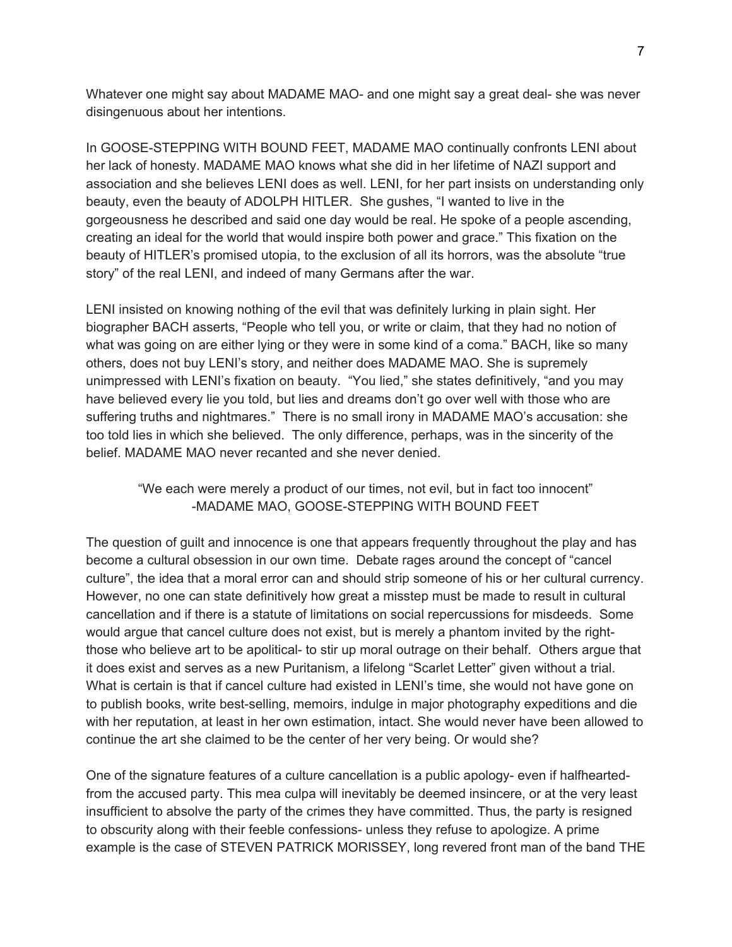Whatever one might say about MADAME MAO- and one might say a great deal- she was never disingenuous about her intentions.

In GOOSE-STEPPING WITH BOUND FEET, MADAME MAO continually confronts LENI about her lack of honesty. MADAME MAO knows what she did in her lifetime of NAZI support and association and she believes LENI does as well. LENI, for her part insists on understanding only beauty, even the beauty of ADOLPH HITLER. She gushes, "I wanted to live in the gorgeousness he described and said one day would be real. He spoke of a people ascending, creating an ideal for the world that would inspire both power and grace." This fixation on the beauty of HITLER's promised utopia, to the exclusion of all its horrors, was the absolute "true story" of the real LENI, and indeed of many Germans after the war.

LENI insisted on knowing nothing of the evil that was definitely lurking in plain sight. Her biographer BACH asserts, "People who tell you, or write or claim, that they had no notion of what was going on are either lying or they were in some kind of a coma." BACH, like so many others, does not buy LENI's story, and neither does MADAME MAO. She is supremely unimpressed with LENI's fixation on beauty. "You lied," she states definitively, "and you may have believed every lie you told, but lies and dreams don't go over well with those who are suffering truths and nightmares." There is no small irony in MADAME MAO's accusation: she too told lies in which she believed. The only difference, perhaps, was in the sincerity of the belief. MADAME MAO never recanted and she never denied.

## "We each were merely a product of our times, not evil, but in fact too innocent" -MADAME MAO, GOOSE-STEPPING WITH BOUND FEET

The question of guilt and innocence is one that appears frequently throughout the play and has become a cultural obsession in our own time. Debate rages around the concept of "cancel culture", the idea that a moral error can and should strip someone of his or her cultural currency. However, no one can state definitively how great a misstep must be made to result in cultural cancellation and if there is a statute of limitations on social repercussions for misdeeds. Some would argue that cancel culture does not exist, but is merely a phantom invited by the rightthose who believe art to be apolitical- to stir up moral outrage on their behalf. Others argue that it does exist and serves as a new Puritanism, a lifelong "Scarlet Letter" given without a trial. What is certain is that if cancel culture had existed in LENI's time, she would not have gone on to publish books, write best-selling, memoirs, indulge in major photography expeditions and die with her reputation, at least in her own estimation, intact. She would never have been allowed to continue the art she claimed to be the center of her very being. Or would she?

One of the signature features of a culture cancellation is a public apology- even if halfheartedfrom the accused party. This mea culpa will inevitably be deemed insincere, or at the very least insufficient to absolve the party of the crimes they have committed. Thus, the party is resigned to obscurity along with their feeble confessions- unless they refuse to apologize. A prime example is the case of STEVEN PATRICK MORISSEY, long revered front man of the band THE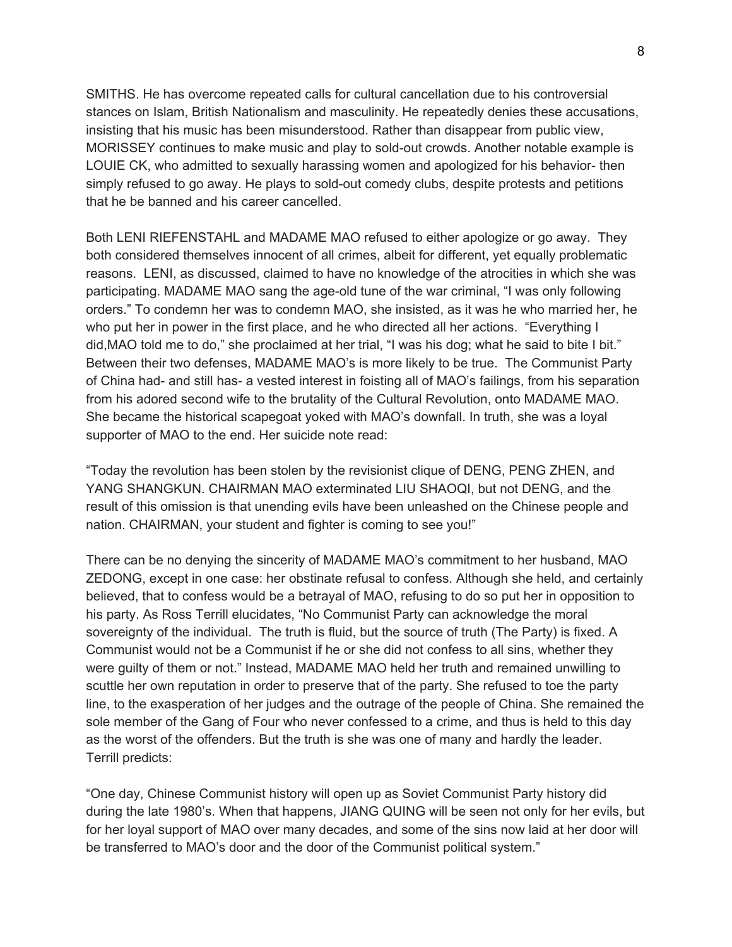SMITHS. He has overcome repeated calls for cultural cancellation due to his controversial stances on Islam, British Nationalism and masculinity. He repeatedly denies these accusations, insisting that his music has been misunderstood. Rather than disappear from public view, MORISSEY continues to make music and play to sold-out crowds. Another notable example is LOUIE CK, who admitted to sexually harassing women and apologized for his behavior- then simply refused to go away. He plays to sold-out comedy clubs, despite protests and petitions that he be banned and his career cancelled.

Both LENI RIEFENSTAHL and MADAME MAO refused to either apologize or go away. They both considered themselves innocent of all crimes, albeit for different, yet equally problematic reasons. LENI, as discussed, claimed to have no knowledge of the atrocities in which she was participating. MADAME MAO sang the age-old tune of the war criminal, "I was only following orders." To condemn her was to condemn MAO, she insisted, as it was he who married her, he who put her in power in the first place, and he who directed all her actions. "Everything I did,MAO told me to do," she proclaimed at her trial, "I was his dog; what he said to bite I bit." Between their two defenses, MADAME MAO's is more likely to be true. The Communist Party of China had- and still has- a vested interest in foisting all of MAO's failings, from his separation from his adored second wife to the brutality of the Cultural Revolution, onto MADAME MAO. She became the historical scapegoat yoked with MAO's downfall. In truth, she was a loyal supporter of MAO to the end. Her suicide note read:

"Today the revolution has been stolen by the revisionist clique of DENG, PENG ZHEN, and YANG SHANGKUN. CHAIRMAN MAO exterminated LIU SHAOQI, but not DENG, and the result of this omission is that unending evils have been unleashed on the Chinese people and nation. CHAIRMAN, your student and fighter is coming to see you!"

There can be no denying the sincerity of MADAME MAO's commitment to her husband, MAO ZEDONG, except in one case: her obstinate refusal to confess. Although she held, and certainly believed, that to confess would be a betrayal of MAO, refusing to do so put her in opposition to his party. As Ross Terrill elucidates, "No Communist Party can acknowledge the moral sovereignty of the individual. The truth is fluid, but the source of truth (The Party) is fixed. A Communist would not be a Communist if he or she did not confess to all sins, whether they were guilty of them or not." Instead, MADAME MAO held her truth and remained unwilling to scuttle her own reputation in order to preserve that of the party. She refused to toe the party line, to the exasperation of her judges and the outrage of the people of China. She remained the sole member of the Gang of Four who never confessed to a crime, and thus is held to this day as the worst of the offenders. But the truth is she was one of many and hardly the leader. Terrill predicts:

"One day, Chinese Communist history will open up as Soviet Communist Party history did during the late 1980's. When that happens, JIANG QUING will be seen not only for her evils, but for her loyal support of MAO over many decades, and some of the sins now laid at her door will be transferred to MAO's door and the door of the Communist political system."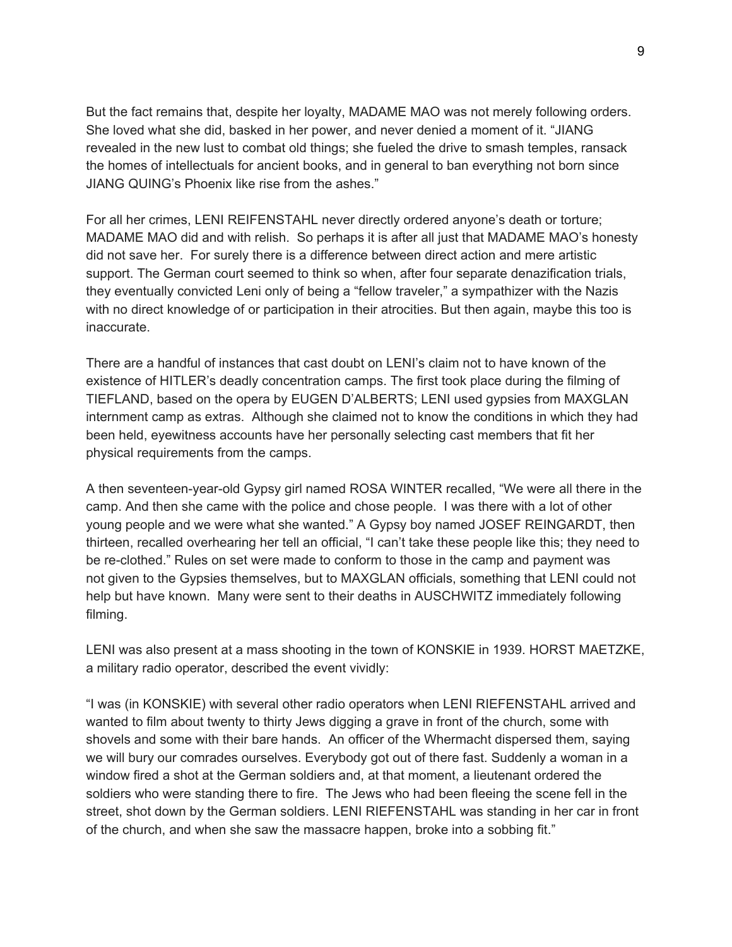But the fact remains that, despite her loyalty, MADAME MAO was not merely following orders. She loved what she did, basked in her power, and never denied a moment of it. "JIANG revealed in the new lust to combat old things; she fueled the drive to smash temples, ransack the homes of intellectuals for ancient books, and in general to ban everything not born since JIANG QUING's Phoenix like rise from the ashes."

For all her crimes, LENI REIFENSTAHL never directly ordered anyone's death or torture; MADAME MAO did and with relish. So perhaps it is after all just that MADAME MAO's honesty did not save her. For surely there is a difference between direct action and mere artistic support. The German court seemed to think so when, after four separate denazification trials, they eventually convicted Leni only of being a "fellow traveler," a sympathizer with the Nazis with no direct knowledge of or participation in their atrocities. But then again, maybe this too is inaccurate.

There are a handful of instances that cast doubt on LENI's claim not to have known of the existence of HITLER's deadly concentration camps. The first took place during the filming of TIEFLAND, based on the opera by EUGEN D'ALBERTS; LENI used gypsies from MAXGLAN internment camp as extras. Although she claimed not to know the conditions in which they had been held, eyewitness accounts have her personally selecting cast members that fit her physical requirements from the camps.

A then seventeen-year-old Gypsy girl named ROSA WINTER recalled, "We were all there in the camp. And then she came with the police and chose people. I was there with a lot of other young people and we were what she wanted." A Gypsy boy named JOSEF REINGARDT, then thirteen, recalled overhearing her tell an official, "I can't take these people like this; they need to be re-clothed." Rules on set were made to conform to those in the camp and payment was not given to the Gypsies themselves, but to MAXGLAN officials, something that LENI could not help but have known. Many were sent to their deaths in AUSCHWITZ immediately following filming.

LENI was also present at a mass shooting in the town of KONSKIE in 1939. HORST MAETZKE, a military radio operator, described the event vividly:

"I was (in KONSKIE) with several other radio operators when LENI RIEFENSTAHL arrived and wanted to film about twenty to thirty Jews digging a grave in front of the church, some with shovels and some with their bare hands. An officer of the Whermacht dispersed them, saying we will bury our comrades ourselves. Everybody got out of there fast. Suddenly a woman in a window fired a shot at the German soldiers and, at that moment, a lieutenant ordered the soldiers who were standing there to fire. The Jews who had been fleeing the scene fell in the street, shot down by the German soldiers. LENI RIEFENSTAHL was standing in her car in front of the church, and when she saw the massacre happen, broke into a sobbing fit."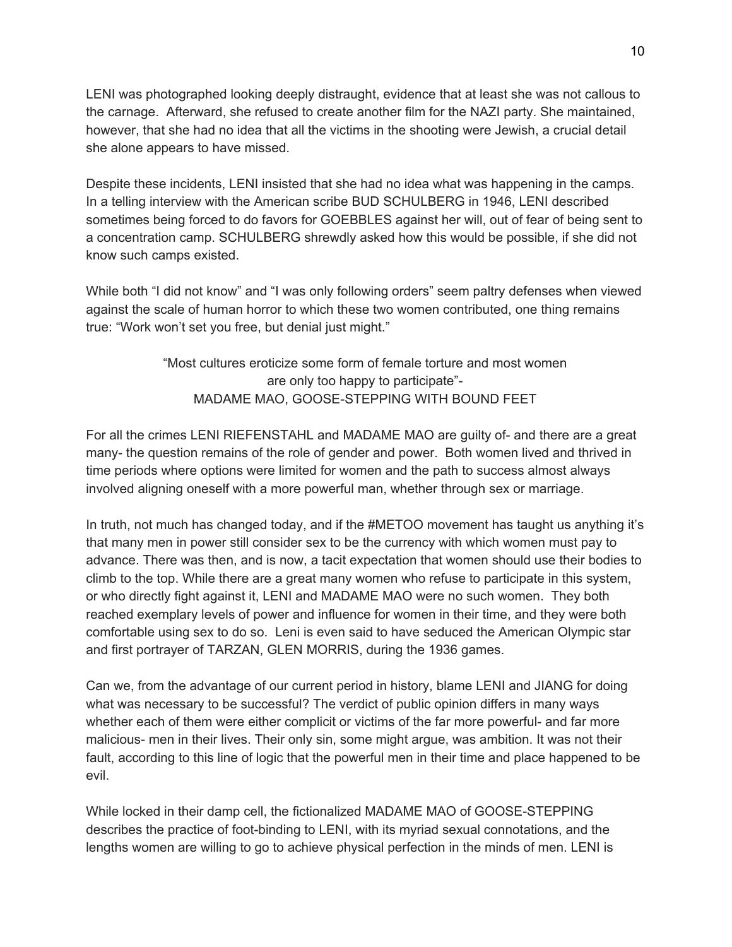LENI was photographed looking deeply distraught, evidence that at least she was not callous to the carnage. Afterward, she refused to create another film for the NAZI party. She maintained, however, that she had no idea that all the victims in the shooting were Jewish, a crucial detail she alone appears to have missed.

Despite these incidents, LENI insisted that she had no idea what was happening in the camps. In a telling interview with the American scribe BUD SCHULBERG in 1946, LENI described sometimes being forced to do favors for GOEBBLES against her will, out of fear of being sent to a concentration camp. SCHULBERG shrewdly asked how this would be possible, if she did not know such camps existed.

While both "I did not know" and "I was only following orders" seem paltry defenses when viewed against the scale of human horror to which these two women contributed, one thing remains true: "Work won't set you free, but denial just might."

> "Most cultures eroticize some form of female torture and most women are only too happy to participate"- MADAME MAO, GOOSE-STEPPING WITH BOUND FEET

For all the crimes LENI RIEFENSTAHL and MADAME MAO are guilty of- and there are a great many- the question remains of the role of gender and power. Both women lived and thrived in time periods where options were limited for women and the path to success almost always involved aligning oneself with a more powerful man, whether through sex or marriage.

In truth, not much has changed today, and if the #METOO movement has taught us anything it's that many men in power still consider sex to be the currency with which women must pay to advance. There was then, and is now, a tacit expectation that women should use their bodies to climb to the top. While there are a great many women who refuse to participate in this system, or who directly fight against it, LENI and MADAME MAO were no such women. They both reached exemplary levels of power and influence for women in their time, and they were both comfortable using sex to do so. Leni is even said to have seduced the American Olympic star and first portrayer of TARZAN, GLEN MORRIS, during the 1936 games.

Can we, from the advantage of our current period in history, blame LENI and JIANG for doing what was necessary to be successful? The verdict of public opinion differs in many ways whether each of them were either complicit or victims of the far more powerful- and far more malicious- men in their lives. Their only sin, some might argue, was ambition. It was not their fault, according to this line of logic that the powerful men in their time and place happened to be evil.

While locked in their damp cell, the fictionalized MADAME MAO of GOOSE-STEPPING describes the practice of foot-binding to LENI, with its myriad sexual connotations, and the lengths women are willing to go to achieve physical perfection in the minds of men. LENI is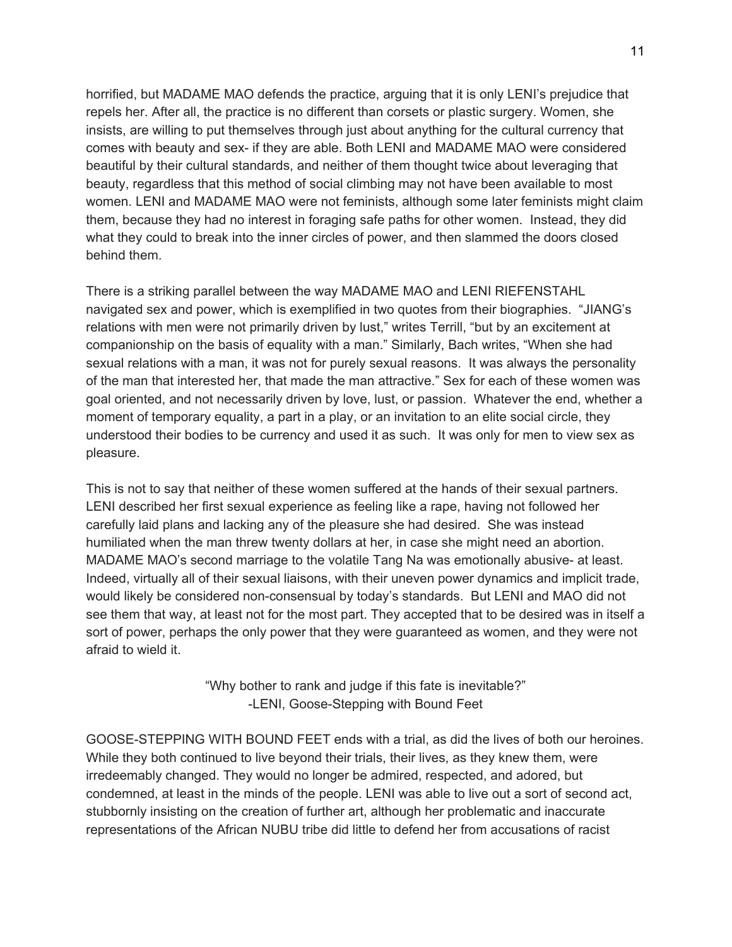horrified, but MADAME MAO defends the practice, arguing that it is only LENI's prejudice that repels her. After all, the practice is no different than corsets or plastic surgery. Women, she insists, are willing to put themselves through just about anything for the cultural currency that comes with beauty and sex- if they are able. Both LENI and MADAME MAO were considered beautiful by their cultural standards, and neither of them thought twice about leveraging that beauty, regardless that this method of social climbing may not have been available to most women. LENI and MADAME MAO were not feminists, although some later feminists might claim them, because they had no interest in foraging safe paths for other women. Instead, they did what they could to break into the inner circles of power, and then slammed the doors closed behind them.

There is a striking parallel between the way MADAME MAO and LENI RIEFENSTAHL navigated sex and power, which is exemplified in two quotes from their biographies. "JIANG's relations with men were not primarily driven by lust," writes Terrill, "but by an excitement at companionship on the basis of equality with a man." Similarly, Bach writes, "When she had sexual relations with a man, it was not for purely sexual reasons. It was always the personality of the man that interested her, that made the man attractive." Sex for each of these women was goal oriented, and not necessarily driven by love, lust, or passion. Whatever the end, whether a moment of temporary equality, a part in a play, or an invitation to an elite social circle, they understood their bodies to be currency and used it as such. It was only for men to view sex as pleasure.

This is not to say that neither of these women suffered at the hands of their sexual partners. LENI described her first sexual experience as feeling like a rape, having not followed her carefully laid plans and lacking any of the pleasure she had desired. She was instead humiliated when the man threw twenty dollars at her, in case she might need an abortion. MADAME MAO's second marriage to the volatile Tang Na was emotionally abusive- at least. Indeed, virtually all of their sexual liaisons, with their uneven power dynamics and implicit trade, would likely be considered non-consensual by today's standards. But LENI and MAO did not see them that way, at least not for the most part. They accepted that to be desired was in itself a sort of power, perhaps the only power that they were guaranteed as women, and they were not afraid to wield it.

> "Why bother to rank and judge if this fate is inevitable?" -LENI, Goose-Stepping with Bound Feet

GOOSE-STEPPING WITH BOUND FEET ends with a trial, as did the lives of both our heroines. While they both continued to live beyond their trials, their lives, as they knew them, were irredeemably changed. They would no longer be admired, respected, and adored, but condemned, at least in the minds of the people. LENI was able to live out a sort of second act, stubbornly insisting on the creation of further art, although her problematic and inaccurate representations of the African NUBU tribe did little to defend her from accusations of racist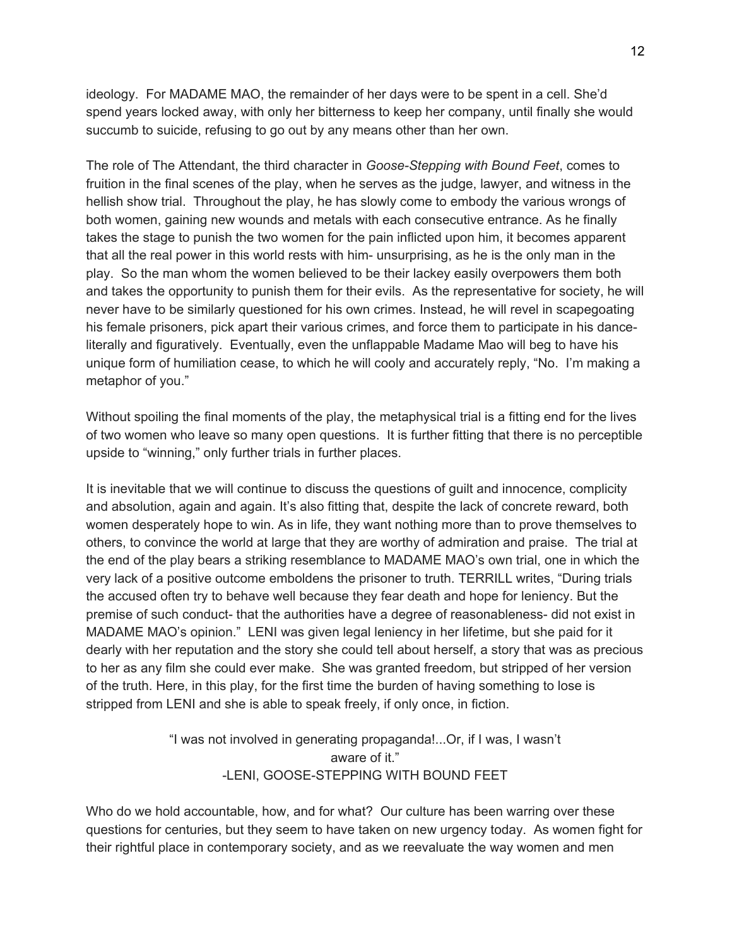ideology. For MADAME MAO, the remainder of her days were to be spent in a cell. She'd spend years locked away, with only her bitterness to keep her company, until finally she would succumb to suicide, refusing to go out by any means other than her own.

The role of The Attendant, the third character in *Goose-Stepping with Bound Feet*, comes to fruition in the final scenes of the play, when he serves as the judge, lawyer, and witness in the hellish show trial. Throughout the play, he has slowly come to embody the various wrongs of both women, gaining new wounds and metals with each consecutive entrance. As he finally takes the stage to punish the two women for the pain inflicted upon him, it becomes apparent that all the real power in this world rests with him- unsurprising, as he is the only man in the play. So the man whom the women believed to be their lackey easily overpowers them both and takes the opportunity to punish them for their evils. As the representative for society, he will never have to be similarly questioned for his own crimes. Instead, he will revel in scapegoating his female prisoners, pick apart their various crimes, and force them to participate in his danceliterally and figuratively. Eventually, even the unflappable Madame Mao will beg to have his unique form of humiliation cease, to which he will cooly and accurately reply, "No. I'm making a metaphor of you."

Without spoiling the final moments of the play, the metaphysical trial is a fitting end for the lives of two women who leave so many open questions. It is further fitting that there is no perceptible upside to "winning," only further trials in further places.

It is inevitable that we will continue to discuss the questions of guilt and innocence, complicity and absolution, again and again. It's also fitting that, despite the lack of concrete reward, both women desperately hope to win. As in life, they want nothing more than to prove themselves to others, to convince the world at large that they are worthy of admiration and praise. The trial at the end of the play bears a striking resemblance to MADAME MAO's own trial, one in which the very lack of a positive outcome emboldens the prisoner to truth. TERRILL writes, "During trials the accused often try to behave well because they fear death and hope for leniency. But the premise of such conduct- that the authorities have a degree of reasonableness- did not exist in MADAME MAO's opinion." LENI was given legal leniency in her lifetime, but she paid for it dearly with her reputation and the story she could tell about herself, a story that was as precious to her as any film she could ever make. She was granted freedom, but stripped of her version of the truth. Here, in this play, for the first time the burden of having something to lose is stripped from LENI and she is able to speak freely, if only once, in fiction.

> "I was not involved in generating propaganda!...Or, if I was, I wasn't aware of it." -LENI, GOOSE-STEPPING WITH BOUND FEET

Who do we hold accountable, how, and for what? Our culture has been warring over these questions for centuries, but they seem to have taken on new urgency today. As women fight for their rightful place in contemporary society, and as we reevaluate the way women and men